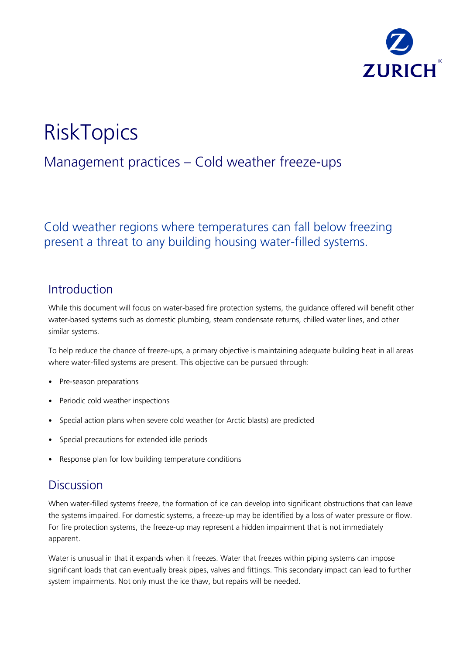

# **RiskTopics**

## Management practices – Cold weather freeze-ups

### Cold weather regions where temperatures can fall below freezing present a threat to any building housing water-filled systems.

### Introduction

While this document will focus on water-based fire protection systems, the guidance offered will benefit other water-based systems such as domestic plumbing, steam condensate returns, chilled water lines, and other similar systems.

To help reduce the chance of freeze-ups, a primary objective is maintaining adequate building heat in all areas where water-filled systems are present. This objective can be pursued through:

- Pre-season preparations
- Periodic cold weather inspections
- Special action plans when severe cold weather (or Arctic blasts) are predicted
- Special precautions for extended idle periods
- Response plan for low building temperature conditions

### **Discussion**

When water-filled systems freeze, the formation of ice can develop into significant obstructions that can leave the systems impaired. For domestic systems, a freeze-up may be identified by a loss of water pressure or flow. For fire protection systems, the freeze-up may represent a hidden impairment that is not immediately apparent.

Water is unusual in that it expands when it freezes. Water that freezes within piping systems can impose significant loads that can eventually break pipes, valves and fittings. This secondary impact can lead to further system impairments. Not only must the ice thaw, but repairs will be needed.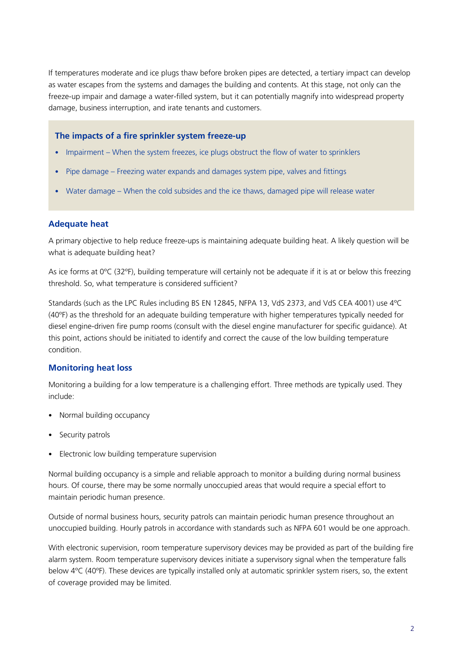If temperatures moderate and ice plugs thaw before broken pipes are detected, a tertiary impact can develop as water escapes from the systems and damages the building and contents. At this stage, not only can the freeze-up impair and damage a water-filled system, but it can potentially magnify into widespread property damage, business interruption, and irate tenants and customers.

### **The impacts of a fire sprinkler system freeze-up**

- Impairment When the system freezes, ice plugs obstruct the flow of water to sprinklers
- Pipe damage Freezing water expands and damages system pipe, valves and fittings
- Water damage When the cold subsides and the ice thaws, damaged pipe will release water

### **Adequate heat**

A primary objective to help reduce freeze-ups is maintaining adequate building heat. A likely question will be what is adequate building heat?

As ice forms at 0ºC (32ºF), building temperature will certainly not be adequate if it is at or below this freezing threshold. So, what temperature is considered sufficient?

Standards (such as the LPC Rules including BS EN 12845, NFPA 13, VdS 2373, and VdS CEA 4001) use 4ºC (40ºF) as the threshold for an adequate building temperature with higher temperatures typically needed for diesel engine-driven fire pump rooms (consult with the diesel engine manufacturer for specific guidance). At this point, actions should be initiated to identify and correct the cause of the low building temperature condition.

### **Monitoring heat loss**

Monitoring a building for a low temperature is a challenging effort. Three methods are typically used. They include:

- Normal building occupancy
- Security patrols
- Electronic low building temperature supervision

Normal building occupancy is a simple and reliable approach to monitor a building during normal business hours. Of course, there may be some normally unoccupied areas that would require a special effort to maintain periodic human presence.

Outside of normal business hours, security patrols can maintain periodic human presence throughout an unoccupied building. Hourly patrols in accordance with standards such as NFPA 601 would be one approach.

With electronic supervision, room temperature supervisory devices may be provided as part of the building fire alarm system. Room temperature supervisory devices initiate a supervisory signal when the temperature falls below 4ºC (40ºF). These devices are typically installed only at automatic sprinkler system risers, so, the extent of coverage provided may be limited.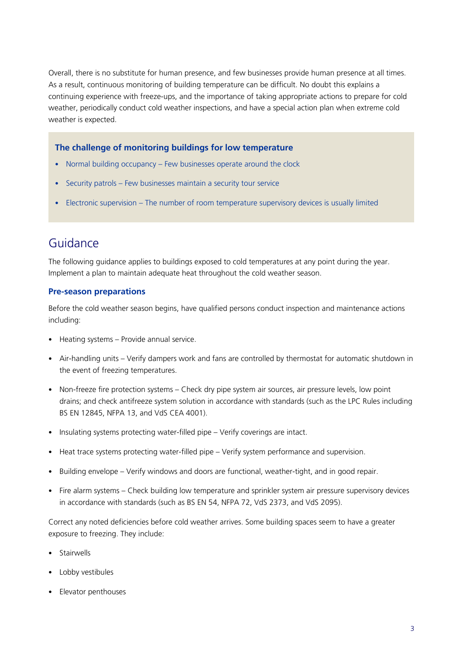Overall, there is no substitute for human presence, and few businesses provide human presence at all times. As a result, continuous monitoring of building temperature can be difficult. No doubt this explains a continuing experience with freeze-ups, and the importance of taking appropriate actions to prepare for cold weather, periodically conduct cold weather inspections, and have a special action plan when extreme cold weather is expected.

#### **The challenge of monitoring buildings for low temperature**

- Normal building occupancy Few businesses operate around the clock
- Security patrols Few businesses maintain a security tour service
- Electronic supervision The number of room temperature supervisory devices is usually limited

### Guidance

The following guidance applies to buildings exposed to cold temperatures at any point during the year. Implement a plan to maintain adequate heat throughout the cold weather season.

#### **Pre-season preparations**

Before the cold weather season begins, have qualified persons conduct inspection and maintenance actions including:

- Heating systems Provide annual service.
- Air-handling units Verify dampers work and fans are controlled by thermostat for automatic shutdown in the event of freezing temperatures.
- Non-freeze fire protection systems Check dry pipe system air sources, air pressure levels, low point drains; and check antifreeze system solution in accordance with standards (such as the LPC Rules including BS EN 12845, NFPA 13, and VdS CEA 4001).
- Insulating systems protecting water-filled pipe Verify coverings are intact.
- Heat trace systems protecting water-filled pipe Verify system performance and supervision.
- Building envelope Verify windows and doors are functional, weather-tight, and in good repair.
- Fire alarm systems Check building low temperature and sprinkler system air pressure supervisory devices in accordance with standards (such as BS EN 54, NFPA 72, VdS 2373, and VdS 2095).

Correct any noted deficiencies before cold weather arrives. Some building spaces seem to have a greater exposure to freezing. They include:

- Stairwells
- Lobby vestibules
- Elevator penthouses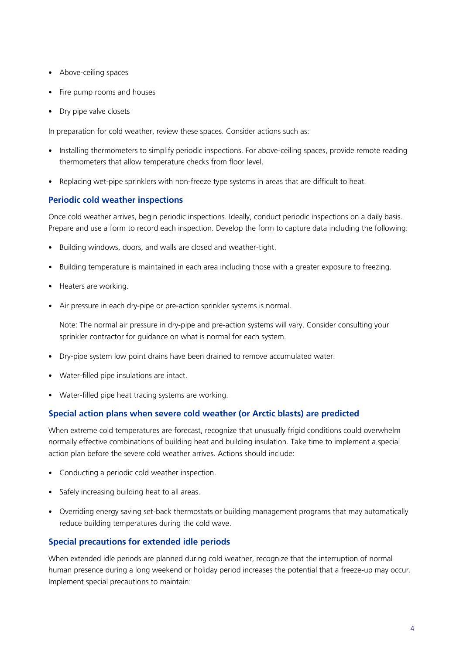- Above-ceiling spaces
- Fire pump rooms and houses
- Dry pipe valve closets

In preparation for cold weather, review these spaces. Consider actions such as:

- Installing thermometers to simplify periodic inspections. For above-ceiling spaces, provide remote reading thermometers that allow temperature checks from floor level.
- Replacing wet-pipe sprinklers with non-freeze type systems in areas that are difficult to heat.

### **Periodic cold weather inspections**

Once cold weather arrives, begin periodic inspections. Ideally, conduct periodic inspections on a daily basis. Prepare and use a form to record each inspection. Develop the form to capture data including the following:

- Building windows, doors, and walls are closed and weather-tight.
- Building temperature is maintained in each area including those with a greater exposure to freezing.
- Heaters are working.
- Air pressure in each dry-pipe or pre-action sprinkler systems is normal.

Note: The normal air pressure in dry-pipe and pre-action systems will vary. Consider consulting your sprinkler contractor for guidance on what is normal for each system.

- Dry-pipe system low point drains have been drained to remove accumulated water.
- Water-filled pipe insulations are intact.
- Water-filled pipe heat tracing systems are working.

#### **Special action plans when severe cold weather (or Arctic blasts) are predicted**

When extreme cold temperatures are forecast, recognize that unusually frigid conditions could overwhelm normally effective combinations of building heat and building insulation. Take time to implement a special action plan before the severe cold weather arrives. Actions should include:

- Conducting a periodic cold weather inspection.
- Safely increasing building heat to all areas.
- Overriding energy saving set-back thermostats or building management programs that may automatically reduce building temperatures during the cold wave.

#### **Special precautions for extended idle periods**

When extended idle periods are planned during cold weather, recognize that the interruption of normal human presence during a long weekend or holiday period increases the potential that a freeze-up may occur. Implement special precautions to maintain: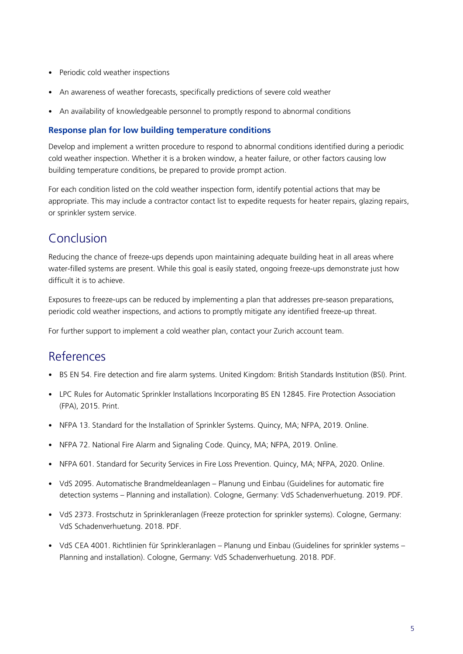- Periodic cold weather inspections
- An awareness of weather forecasts, specifically predictions of severe cold weather
- An availability of knowledgeable personnel to promptly respond to abnormal conditions

#### **Response plan for low building temperature conditions**

Develop and implement a written procedure to respond to abnormal conditions identified during a periodic cold weather inspection. Whether it is a broken window, a heater failure, or other factors causing low building temperature conditions, be prepared to provide prompt action.

For each condition listed on the cold weather inspection form, identify potential actions that may be appropriate. This may include a contractor contact list to expedite requests for heater repairs, glazing repairs, or sprinkler system service.

### Conclusion

Reducing the chance of freeze-ups depends upon maintaining adequate building heat in all areas where water-filled systems are present. While this goal is easily stated, ongoing freeze-ups demonstrate just how difficult it is to achieve.

Exposures to freeze-ups can be reduced by implementing a plan that addresses pre-season preparations, periodic cold weather inspections, and actions to promptly mitigate any identified freeze-up threat.

For further support to implement a cold weather plan, contact your Zurich account team.

### References

- BS EN 54. Fire detection and fire alarm systems. United Kingdom: British Standards Institution (BSI). Print.
- LPC Rules for Automatic Sprinkler Installations Incorporating BS EN 12845. Fire Protection Association (FPA), 2015. Print.
- NFPA 13. Standard for the Installation of Sprinkler Systems. Quincy, MA; NFPA, 2019. Online.
- NFPA 72. National Fire Alarm and Signaling Code. Quincy, MA; NFPA, 2019. Online.
- NFPA 601. Standard for Security Services in Fire Loss Prevention. Quincy, MA; NFPA, 2020. Online.
- VdS 2095. Automatische Brandmeldeanlagen Planung und Einbau (Guidelines for automatic fire detection systems – Planning and installation). Cologne, Germany: VdS Schadenverhuetung. 2019. PDF.
- VdS 2373. Frostschutz in Sprinkleranlagen (Freeze protection for sprinkler systems). Cologne, Germany: VdS Schadenverhuetung. 2018. PDF.
- VdS CEA 4001. Richtlinien für Sprinkleranlagen Planung und Einbau (Guidelines for sprinkler systems Planning and installation). Cologne, Germany: VdS Schadenverhuetung. 2018. PDF.